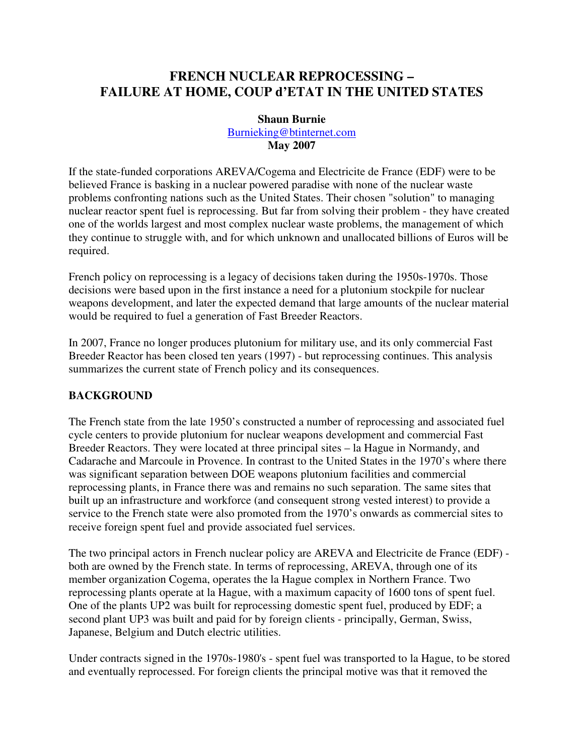# **FRENCH NUCLEAR REPROCESSING – FAILURE AT HOME, COUP d'ETAT IN THE UNITED STATES**

#### **Shaun Burnie**

Burnieking@btinternet.com **May 2007**

If the state-funded corporations AREVA/Cogema and Electricite de France (EDF) were to be believed France is basking in a nuclear powered paradise with none of the nuclear waste problems confronting nations such as the United States. Their chosen "solution" to managing nuclear reactor spent fuel is reprocessing. But far from solving their problem - they have created one of the worlds largest and most complex nuclear waste problems, the management of which they continue to struggle with, and for which unknown and unallocated billions of Euros will be required.

French policy on reprocessing is a legacy of decisions taken during the 1950s-1970s. Those decisions were based upon in the first instance a need for a plutonium stockpile for nuclear weapons development, and later the expected demand that large amounts of the nuclear material would be required to fuel a generation of Fast Breeder Reactors.

In 2007, France no longer produces plutonium for military use, and its only commercial Fast Breeder Reactor has been closed ten years (1997) - but reprocessing continues. This analysis summarizes the current state of French policy and its consequences.

## **BACKGROUND**

The French state from the late 1950's constructed a number of reprocessing and associated fuel cycle centers to provide plutonium for nuclear weapons development and commercial Fast Breeder Reactors. They were located at three principal sites – la Hague in Normandy, and Cadarache and Marcoule in Provence. In contrast to the United States in the 1970's where there was significant separation between DOE weapons plutonium facilities and commercial reprocessing plants, in France there was and remains no such separation. The same sites that built up an infrastructure and workforce (and consequent strong vested interest) to provide a service to the French state were also promoted from the 1970's onwards as commercial sites to receive foreign spent fuel and provide associated fuel services.

The two principal actors in French nuclear policy are AREVA and Electricite de France (EDF) both are owned by the French state. In terms of reprocessing, AREVA, through one of its member organization Cogema, operates the la Hague complex in Northern France. Two reprocessing plants operate at la Hague, with a maximum capacity of 1600 tons of spent fuel. One of the plants UP2 was built for reprocessing domestic spent fuel, produced by EDF; a second plant UP3 was built and paid for by foreign clients - principally, German, Swiss, Japanese, Belgium and Dutch electric utilities.

Under contracts signed in the 1970s-1980's - spent fuel was transported to la Hague, to be stored and eventually reprocessed. For foreign clients the principal motive was that it removed the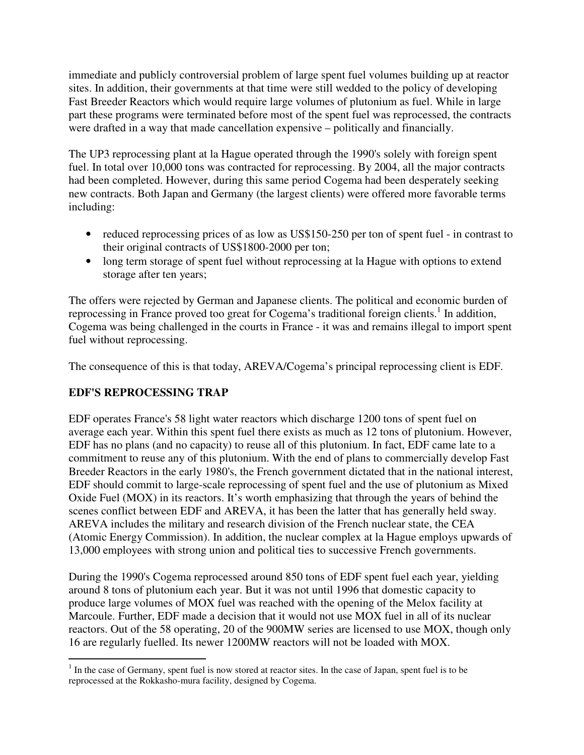immediate and publicly controversial problem of large spent fuel volumes building up at reactor sites. In addition, their governments at that time were still wedded to the policy of developing Fast Breeder Reactors which would require large volumes of plutonium as fuel. While in large part these programs were terminated before most of the spent fuel was reprocessed, the contracts were drafted in a way that made cancellation expensive – politically and financially.

The UP3 reprocessing plant at la Hague operated through the 1990's solely with foreign spent fuel. In total over 10,000 tons was contracted for reprocessing. By 2004, all the major contracts had been completed. However, during this same period Cogema had been desperately seeking new contracts. Both Japan and Germany (the largest clients) were offered more favorable terms including:

- reduced reprocessing prices of as low as US\$150-250 per ton of spent fuel in contrast to their original contracts of US\$1800-2000 per ton;
- long term storage of spent fuel without reprocessing at la Hague with options to extend storage after ten years;

The offers were rejected by German and Japanese clients. The political and economic burden of reprocessing in France proved too great for Cogema's traditional foreign clients.<sup>1</sup> In addition, Cogema was being challenged in the courts in France - it was and remains illegal to import spent fuel without reprocessing.

The consequence of this is that today, AREVA/Cogema's principal reprocessing client is EDF.

# **EDF'S REPROCESSING TRAP**

EDF operates France's 58 light water reactors which discharge 1200 tons of spent fuel on average each year. Within this spent fuel there exists as much as 12 tons of plutonium. However, EDF has no plans (and no capacity) to reuse all of this plutonium. In fact, EDF came late to a commitment to reuse any of this plutonium. With the end of plans to commercially develop Fast Breeder Reactors in the early 1980's, the French government dictated that in the national interest, EDF should commit to large-scale reprocessing of spent fuel and the use of plutonium as Mixed Oxide Fuel (MOX) in its reactors. It's worth emphasizing that through the years of behind the scenes conflict between EDF and AREVA, it has been the latter that has generally held sway. AREVA includes the military and research division of the French nuclear state, the CEA (Atomic Energy Commission). In addition, the nuclear complex at la Hague employs upwards of 13,000 employees with strong union and political ties to successive French governments.

During the 1990's Cogema reprocessed around 850 tons of EDF spent fuel each year, yielding around 8 tons of plutonium each year. But it was not until 1996 that domestic capacity to produce large volumes of MOX fuel was reached with the opening of the Melox facility at Marcoule. Further, EDF made a decision that it would not use MOX fuel in all of its nuclear reactors. Out of the 58 operating, 20 of the 900MW series are licensed to use MOX, though only 16 are regularly fuelled. Its newer 1200MW reactors will not be loaded with MOX.

<sup>&</sup>lt;sup>1</sup> In the case of Germany, spent fuel is now stored at reactor sites. In the case of Japan, spent fuel is to be reprocessed at the Rokkasho-mura facility, designed by Cogema.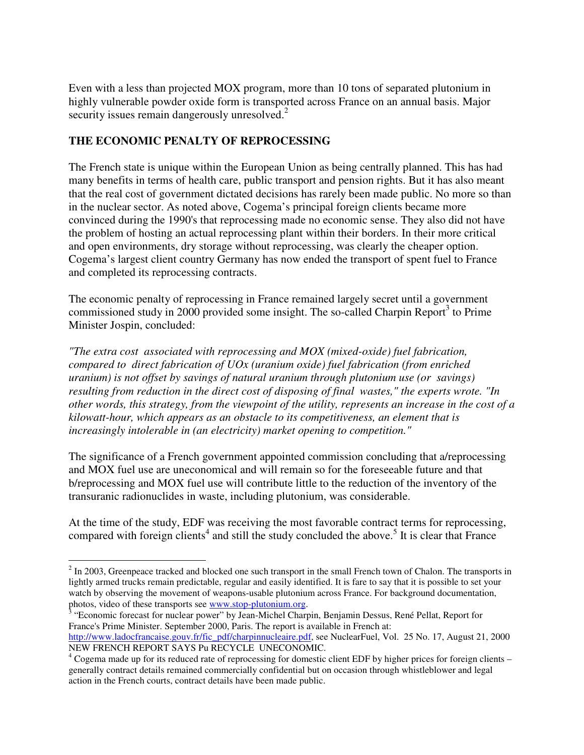Even with a less than projected MOX program, more than 10 tons of separated plutonium in highly vulnerable powder oxide form is transported across France on an annual basis. Major security issues remain dangerously unresolved.<sup>2</sup>

# **THE ECONOMIC PENALTY OF REPROCESSING**

 $\overline{a}$ 

The French state is unique within the European Union as being centrally planned. This has had many benefits in terms of health care, public transport and pension rights. But it has also meant that the real cost of government dictated decisions has rarely been made public. No more so than in the nuclear sector. As noted above, Cogema's principal foreign clients became more convinced during the 1990's that reprocessing made no economic sense. They also did not have the problem of hosting an actual reprocessing plant within their borders. In their more critical and open environments, dry storage without reprocessing, was clearly the cheaper option. Cogema's largest client country Germany has now ended the transport of spent fuel to France and completed its reprocessing contracts.

The economic penalty of reprocessing in France remained largely secret until a government commissioned study in 2000 provided some insight. The so-called Charpin Report $3$  to Prime Minister Jospin, concluded:

*"The extra cost associated with reprocessing and MOX (mixed-oxide) fuel fabrication, compared to direct fabrication of UOx (uranium oxide) fuel fabrication (from enriched uranium) is not offset by savings of natural uranium through plutonium use (or savings) resulting from reduction in the direct cost of disposing of final wastes," the experts wrote. "In other words, this strategy, from the viewpoint of the utility, represents an increase in the cost of a kilowatt-hour, which appears as an obstacle to its competitiveness, an element that is increasingly intolerable in (an electricity) market opening to competition."* 

The significance of a French government appointed commission concluding that a/reprocessing and MOX fuel use are uneconomical and will remain so for the foreseeable future and that b/reprocessing and MOX fuel use will contribute little to the reduction of the inventory of the transuranic radionuclides in waste, including plutonium, was considerable.

At the time of the study, EDF was receiving the most favorable contract terms for reprocessing, compared with foreign clients<sup>4</sup> and still the study concluded the above.<sup>5</sup> It is clear that France

 $2 \text{ In } 2003$ , Greenpeace tracked and blocked one such transport in the small French town of Chalon. The transports in lightly armed trucks remain predictable, regular and easily identified. It is fare to say that it is possible to set your watch by observing the movement of weapons-usable plutonium across France. For background documentation,

photos, video of these transports see www.stop-plutonium.org.<br><sup>3</sup> "Economic forecast for nuclear power" by Jean-Michel Charpin, Benjamin Dessus, René Pellat, Report for France's Prime Minister. September 2000, Paris. The report is available in French at: http://www.ladocfrancaise.gouv.fr/fic\_pdf/charpinnucleaire.pdf, see NuclearFuel, Vol. 25 No. 17, August 21, 2000 NEW FRENCH REPORT SAYS Pu RECYCLE UNECONOMIC.

<sup>&</sup>lt;sup>4</sup> Cogema made up for its reduced rate of reprocessing for domestic client EDF by higher prices for foreign clients – generally contract details remained commercially confidential but on occasion through whistleblower and legal action in the French courts, contract details have been made public.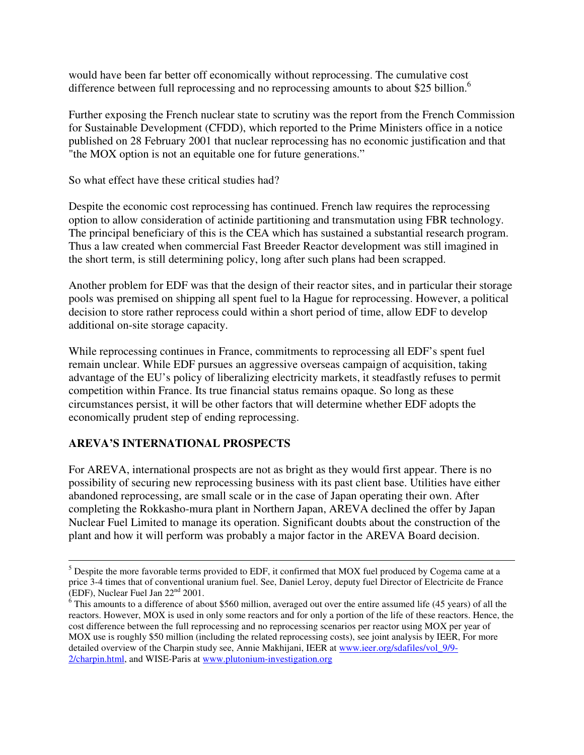would have been far better off economically without reprocessing. The cumulative cost difference between full reprocessing and no reprocessing amounts to about \$25 billion.<sup>6</sup>

Further exposing the French nuclear state to scrutiny was the report from the French Commission for Sustainable Development (CFDD), which reported to the Prime Ministers office in a notice published on 28 February 2001 that nuclear reprocessing has no economic justification and that "the MOX option is not an equitable one for future generations."

So what effect have these critical studies had?

Despite the economic cost reprocessing has continued. French law requires the reprocessing option to allow consideration of actinide partitioning and transmutation using FBR technology. The principal beneficiary of this is the CEA which has sustained a substantial research program. Thus a law created when commercial Fast Breeder Reactor development was still imagined in the short term, is still determining policy, long after such plans had been scrapped.

Another problem for EDF was that the design of their reactor sites, and in particular their storage pools was premised on shipping all spent fuel to la Hague for reprocessing. However, a political decision to store rather reprocess could within a short period of time, allow EDF to develop additional on-site storage capacity.

While reprocessing continues in France, commitments to reprocessing all EDF's spent fuel remain unclear. While EDF pursues an aggressive overseas campaign of acquisition, taking advantage of the EU's policy of liberalizing electricity markets, it steadfastly refuses to permit competition within France. Its true financial status remains opaque. So long as these circumstances persist, it will be other factors that will determine whether EDF adopts the economically prudent step of ending reprocessing.

## **AREVA'S INTERNATIONAL PROSPECTS**

 $\overline{a}$ 

For AREVA, international prospects are not as bright as they would first appear. There is no possibility of securing new reprocessing business with its past client base. Utilities have either abandoned reprocessing, are small scale or in the case of Japan operating their own. After completing the Rokkasho-mura plant in Northern Japan, AREVA declined the offer by Japan Nuclear Fuel Limited to manage its operation. Significant doubts about the construction of the plant and how it will perform was probably a major factor in the AREVA Board decision.

 $<sup>5</sup>$  Despite the more favorable terms provided to EDF, it confirmed that MOX fuel produced by Cogema came at a</sup> price 3-4 times that of conventional uranium fuel. See, Daniel Leroy, deputy fuel Director of Electricite de France (EDF), Nuclear Fuel Jan 22nd 2001.

 $6$  This amounts to a difference of about \$560 million, averaged out over the entire assumed life (45 years) of all the reactors. However, MOX is used in only some reactors and for only a portion of the life of these reactors. Hence, the cost difference between the full reprocessing and no reprocessing scenarios per reactor using MOX per year of MOX use is roughly \$50 million (including the related reprocessing costs), see joint analysis by IEER, For more detailed overview of the Charpin study see, Annie Makhijani, IEER at www.ieer.org/sdafiles/vol\_9/9- 2/charpin.html, and WISE-Paris at www.plutonium-investigation.org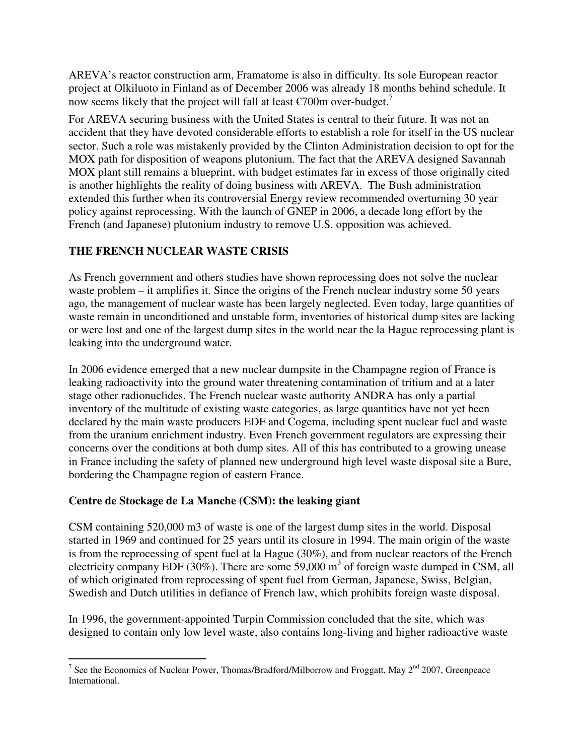AREVA's reactor construction arm, Framatome is also in difficulty. Its sole European reactor project at Olkiluoto in Finland as of December 2006 was already 18 months behind schedule. It now seems likely that the project will fall at least  $\epsilon$ 700m over-budget.<sup>7</sup>

For AREVA securing business with the United States is central to their future. It was not an accident that they have devoted considerable efforts to establish a role for itself in the US nuclear sector. Such a role was mistakenly provided by the Clinton Administration decision to opt for the MOX path for disposition of weapons plutonium. The fact that the AREVA designed Savannah MOX plant still remains a blueprint, with budget estimates far in excess of those originally cited is another highlights the reality of doing business with AREVA. The Bush administration extended this further when its controversial Energy review recommended overturning 30 year policy against reprocessing. With the launch of GNEP in 2006, a decade long effort by the French (and Japanese) plutonium industry to remove U.S. opposition was achieved.

# **THE FRENCH NUCLEAR WASTE CRISIS**

As French government and others studies have shown reprocessing does not solve the nuclear waste problem – it amplifies it. Since the origins of the French nuclear industry some 50 years ago, the management of nuclear waste has been largely neglected. Even today, large quantities of waste remain in unconditioned and unstable form, inventories of historical dump sites are lacking or were lost and one of the largest dump sites in the world near the la Hague reprocessing plant is leaking into the underground water.

In 2006 evidence emerged that a new nuclear dumpsite in the Champagne region of France is leaking radioactivity into the ground water threatening contamination of tritium and at a later stage other radionuclides. The French nuclear waste authority ANDRA has only a partial inventory of the multitude of existing waste categories, as large quantities have not yet been declared by the main waste producers EDF and Cogema, including spent nuclear fuel and waste from the uranium enrichment industry. Even French government regulators are expressing their concerns over the conditions at both dump sites. All of this has contributed to a growing unease in France including the safety of planned new underground high level waste disposal site a Bure, bordering the Champagne region of eastern France.

## **Centre de Stockage de La Manche (CSM): the leaking giant**

CSM containing 520,000 m3 of waste is one of the largest dump sites in the world. Disposal started in 1969 and continued for 25 years until its closure in 1994. The main origin of the waste is from the reprocessing of spent fuel at la Hague (30%), and from nuclear reactors of the French electricity company EDF (30%). There are some 59,000  $m<sup>3</sup>$  of foreign waste dumped in CSM, all of which originated from reprocessing of spent fuel from German, Japanese, Swiss, Belgian, Swedish and Dutch utilities in defiance of French law, which prohibits foreign waste disposal.

In 1996, the government-appointed Turpin Commission concluded that the site, which was designed to contain only low level waste, also contains long-living and higher radioactive waste

<sup>&</sup>lt;sup>7</sup> See the Economics of Nuclear Power, Thomas/Bradford/Milborrow and Froggatt, May 2<sup>nd</sup> 2007, Greenpeace International.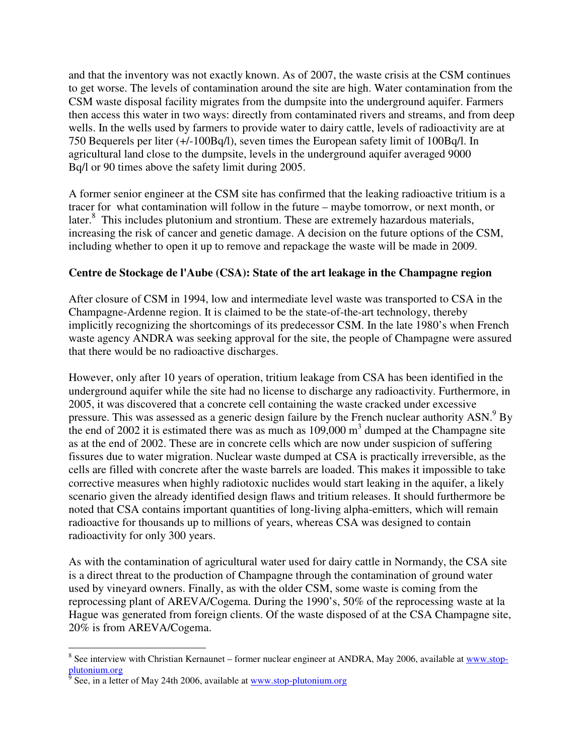and that the inventory was not exactly known. As of 2007, the waste crisis at the CSM continues to get worse. The levels of contamination around the site are high. Water contamination from the CSM waste disposal facility migrates from the dumpsite into the underground aquifer. Farmers then access this water in two ways: directly from contaminated rivers and streams, and from deep wells. In the wells used by farmers to provide water to dairy cattle, levels of radioactivity are at 750 Bequerels per liter (+/-100Bq/l), seven times the European safety limit of 100Bq/l. In agricultural land close to the dumpsite, levels in the underground aquifer averaged 9000 Bq/l or 90 times above the safety limit during 2005.

A former senior engineer at the CSM site has confirmed that the leaking radioactive tritium is a tracer for what contamination will follow in the future – maybe tomorrow, or next month, or later.<sup>8</sup> This includes plutonium and strontium. These are extremely hazardous materials, increasing the risk of cancer and genetic damage. A decision on the future options of the CSM, including whether to open it up to remove and repackage the waste will be made in 2009.

#### **Centre de Stockage de l'Aube (CSA): State of the art leakage in the Champagne region**

After closure of CSM in 1994, low and intermediate level waste was transported to CSA in the Champagne-Ardenne region. It is claimed to be the state-of-the-art technology, thereby implicitly recognizing the shortcomings of its predecessor CSM. In the late 1980's when French waste agency ANDRA was seeking approval for the site, the people of Champagne were assured that there would be no radioactive discharges.

However, only after 10 years of operation, tritium leakage from CSA has been identified in the underground aquifer while the site had no license to discharge any radioactivity. Furthermore, in 2005, it was discovered that a concrete cell containing the waste cracked under excessive pressure. This was assessed as a generic design failure by the French nuclear authority  $ASN$ . By the end of 2002 it is estimated there was as much as  $109,000 \text{ m}^3$  dumped at the Champagne site as at the end of 2002. These are in concrete cells which are now under suspicion of suffering fissures due to water migration. Nuclear waste dumped at CSA is practically irreversible, as the cells are filled with concrete after the waste barrels are loaded. This makes it impossible to take corrective measures when highly radiotoxic nuclides would start leaking in the aquifer, a likely scenario given the already identified design flaws and tritium releases. It should furthermore be noted that CSA contains important quantities of long-living alpha-emitters, which will remain radioactive for thousands up to millions of years, whereas CSA was designed to contain radioactivity for only 300 years.

As with the contamination of agricultural water used for dairy cattle in Normandy, the CSA site is a direct threat to the production of Champagne through the contamination of ground water used by vineyard owners. Finally, as with the older CSM, some waste is coming from the reprocessing plant of AREVA/Cogema. During the 1990's, 50% of the reprocessing waste at la Hague was generated from foreign clients. Of the waste disposed of at the CSA Champagne site, 20% is from AREVA/Cogema.

 $\overline{a}$ <sup>8</sup> See interview with Christian Kernaunet – former nuclear engineer at ANDRA, May 2006, available at www.stop-

plutonium.org<br><sup>9</sup> See, in a letter of May 24th 2006, available at <u>www.stop-plutonium.org</u>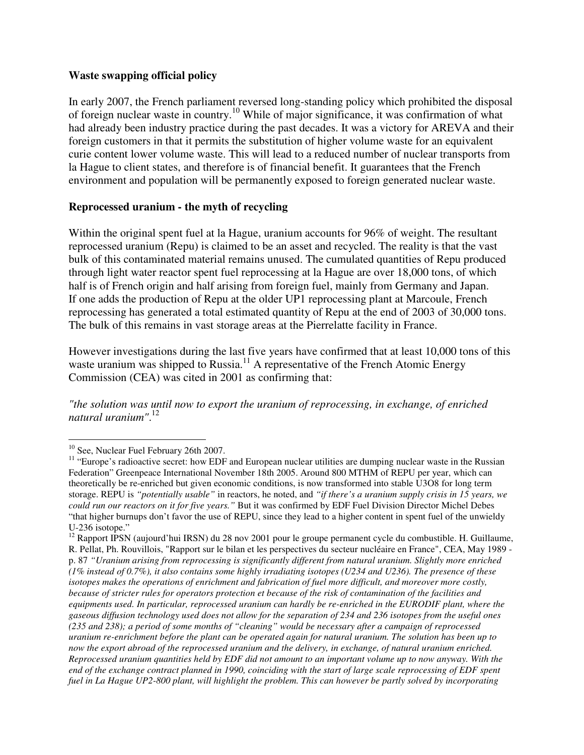#### **Waste swapping official policy**

In early 2007, the French parliament reversed long-standing policy which prohibited the disposal of foreign nuclear waste in country.<sup>10</sup> While of major significance, it was confirmation of what had already been industry practice during the past decades. It was a victory for AREVA and their foreign customers in that it permits the substitution of higher volume waste for an equivalent curie content lower volume waste. This will lead to a reduced number of nuclear transports from la Hague to client states, and therefore is of financial benefit. It guarantees that the French environment and population will be permanently exposed to foreign generated nuclear waste.

#### **Reprocessed uranium - the myth of recycling**

Within the original spent fuel at la Hague, uranium accounts for 96% of weight. The resultant reprocessed uranium (Repu) is claimed to be an asset and recycled. The reality is that the vast bulk of this contaminated material remains unused. The cumulated quantities of Repu produced through light water reactor spent fuel reprocessing at la Hague are over 18,000 tons, of which half is of French origin and half arising from foreign fuel, mainly from Germany and Japan. If one adds the production of Repu at the older UP1 reprocessing plant at Marcoule, French reprocessing has generated a total estimated quantity of Repu at the end of 2003 of 30,000 tons. The bulk of this remains in vast storage areas at the Pierrelatte facility in France.

However investigations during the last five years have confirmed that at least 10,000 tons of this waste uranium was shipped to Russia.<sup>11</sup> A representative of the French Atomic Energy Commission (CEA) was cited in 2001 as confirming that:

*"the solution was until now to export the uranium of reprocessing, in exchange, of enriched natural uranium"*. 12

 $\overline{a}$ 

<sup>12</sup> Rapport IPSN (aujourd'hui IRSN) du 28 nov 2001 pour le groupe permanent cycle du combustible. H. Guillaume, R. Pellat, Ph. Rouvillois, "Rapport sur le bilan et les perspectives du secteur nucléaire en France", CEA, May 1989 p. 87 *"Uranium arising from reprocessing is significantly different from natural uranium. Slightly more enriched (1% instead of 0.7%), it also contains some highly irradiating isotopes (U234 and U236). The presence of these isotopes makes the operations of enrichment and fabrication of fuel more difficult, and moreover more costly, because of stricter rules for operators protection et because of the risk of contamination of the facilities and equipments used. In particular, reprocessed uranium can hardly be re-enriched in the EURODIF plant, where the gaseous diffusion technology used does not allow for the separation of 234 and 236 isotopes from the useful ones (235 and 238); a period of some months of "cleaning" would be necessary after a campaign of reprocessed uranium re-enrichment before the plant can be operated again for natural uranium. The solution has been up to now the export abroad of the reprocessed uranium and the delivery, in exchange, of natural uranium enriched. Reprocessed uranium quantities held by EDF did not amount to an important volume up to now anyway. With the end of the exchange contract planned in 1990, coinciding with the start of large scale reprocessing of EDF spent fuel in La Hague UP2-800 plant, will highlight the problem. This can however be partly solved by incorporating* 

<sup>&</sup>lt;sup>10</sup> See, Nuclear Fuel February 26th 2007.

<sup>&</sup>lt;sup>11</sup> "Europe's radioactive secret: how EDF and European nuclear utilities are dumping nuclear waste in the Russian Federation" Greenpeace International November 18th 2005. Around 800 MTHM of REPU per year, which can theoretically be re-enriched but given economic conditions, is now transformed into stable U3O8 for long term storage. REPU is *"potentially usable"* in reactors, he noted, and *"if there's a uranium supply crisis in 15 years, we could run our reactors on it for five years."* But it was confirmed by EDF Fuel Division Director Michel Debes "that higher burnups don't favor the use of REPU, since they lead to a higher content in spent fuel of the unwieldy U-236 isotope."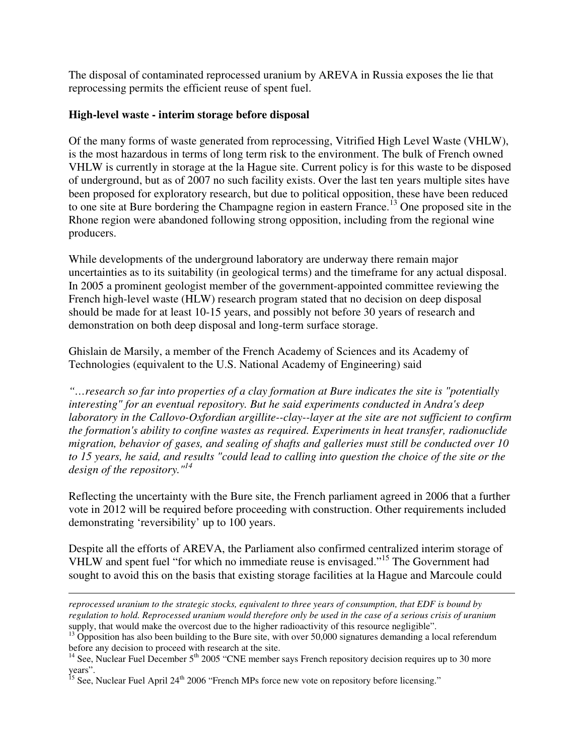The disposal of contaminated reprocessed uranium by AREVA in Russia exposes the lie that reprocessing permits the efficient reuse of spent fuel.

#### **High-level waste - interim storage before disposal**

Of the many forms of waste generated from reprocessing, Vitrified High Level Waste (VHLW), is the most hazardous in terms of long term risk to the environment. The bulk of French owned VHLW is currently in storage at the la Hague site. Current policy is for this waste to be disposed of underground, but as of 2007 no such facility exists. Over the last ten years multiple sites have been proposed for exploratory research, but due to political opposition, these have been reduced to one site at Bure bordering the Champagne region in eastern France.<sup>13</sup> One proposed site in the Rhone region were abandoned following strong opposition, including from the regional wine producers.

While developments of the underground laboratory are underway there remain major uncertainties as to its suitability (in geological terms) and the timeframe for any actual disposal. In 2005 a prominent geologist member of the government-appointed committee reviewing the French high-level waste (HLW) research program stated that no decision on deep disposal should be made for at least 10-15 years, and possibly not before 30 years of research and demonstration on both deep disposal and long-term surface storage.

Ghislain de Marsily, a member of the French Academy of Sciences and its Academy of Technologies (equivalent to the U.S. National Academy of Engineering) said

*"…research so far into properties of a clay formation at Bure indicates the site is "potentially interesting" for an eventual repository. But he said experiments conducted in Andra's deep laboratory in the Callovo-Oxfordian argillite--clay--layer at the site are not sufficient to confirm the formation's ability to confine wastes as required. Experiments in heat transfer, radionuclide migration, behavior of gases, and sealing of shafts and galleries must still be conducted over 10 to 15 years, he said, and results "could lead to calling into question the choice of the site or the design of the repository."<sup>14</sup>*

Reflecting the uncertainty with the Bure site, the French parliament agreed in 2006 that a further vote in 2012 will be required before proceeding with construction. Other requirements included demonstrating 'reversibility' up to 100 years.

Despite all the efforts of AREVA, the Parliament also confirmed centralized interim storage of VHLW and spent fuel "for which no immediate reuse is envisaged."<sup>15</sup> The Government had sought to avoid this on the basis that existing storage facilities at la Hague and Marcoule could

 $\overline{a}$ 

*reprocessed uranium to the strategic stocks, equivalent to three years of consumption, that EDF is bound by regulation to hold. Reprocessed uranium would therefore only be used in the case of a serious crisis of uranium*  supply, that would make the overcost due to the higher radioactivity of this resource negligible".

 $13$  Opposition has also been building to the Bure site, with over 50,000 signatures demanding a local referendum before any decision to proceed with research at the site.

<sup>&</sup>lt;sup>14</sup> See, Nuclear Fuel December  $5<sup>th</sup>$  2005 "CNE member says French repository decision requires up to 30 more years".

<sup>&</sup>lt;sup>15</sup> See, Nuclear Fuel April 24<sup>th</sup> 2006 "French MPs force new vote on repository before licensing."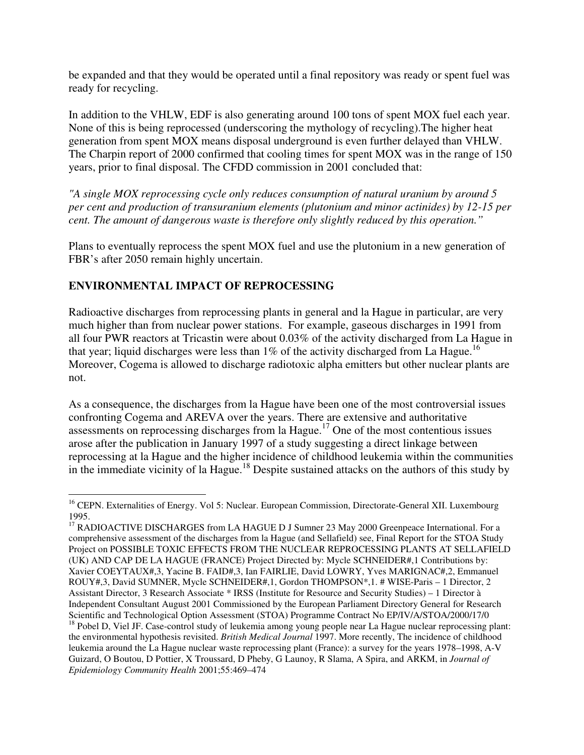be expanded and that they would be operated until a final repository was ready or spent fuel was ready for recycling.

In addition to the VHLW, EDF is also generating around 100 tons of spent MOX fuel each year. None of this is being reprocessed (underscoring the mythology of recycling).The higher heat generation from spent MOX means disposal underground is even further delayed than VHLW. The Charpin report of 2000 confirmed that cooling times for spent MOX was in the range of 150 years, prior to final disposal. The CFDD commission in 2001 concluded that:

*"A single MOX reprocessing cycle only reduces consumption of natural uranium by around 5 per cent and production of transuranium elements (plutonium and minor actinides) by 12-15 per cent. The amount of dangerous waste is therefore only slightly reduced by this operation."* 

Plans to eventually reprocess the spent MOX fuel and use the plutonium in a new generation of FBR's after 2050 remain highly uncertain.

# **ENVIRONMENTAL IMPACT OF REPROCESSING**

Radioactive discharges from reprocessing plants in general and la Hague in particular, are very much higher than from nuclear power stations. For example, gaseous discharges in 1991 from all four PWR reactors at Tricastin were about 0.03% of the activity discharged from La Hague in that year; liquid discharges were less than 1% of the activity discharged from La Hague.<sup>16</sup> Moreover, Cogema is allowed to discharge radiotoxic alpha emitters but other nuclear plants are not.

As a consequence, the discharges from la Hague have been one of the most controversial issues confronting Cogema and AREVA over the years. There are extensive and authoritative assessments on reprocessing discharges from la Hague. <sup>17</sup> One of the most contentious issues arose after the publication in January 1997 of a study suggesting a direct linkage between reprocessing at la Hague and the higher incidence of childhood leukemia within the communities in the immediate vicinity of la Hague.<sup>18</sup> Despite sustained attacks on the authors of this study by

 $\overline{a}$ <sup>16</sup> CEPN. Externalities of Energy. Vol 5: Nuclear. European Commission, Directorate-General XII. Luxembourg 1995.

<sup>&</sup>lt;sup>17</sup> RADIOACTIVE DISCHARGES from LA HAGUE D J Sumner 23 May 2000 Greenpeace International. For a comprehensive assessment of the discharges from la Hague (and Sellafield) see, Final Report for the STOA Study Project on POSSIBLE TOXIC EFFECTS FROM THE NUCLEAR REPROCESSING PLANTS AT SELLAFIELD (UK) AND CAP DE LA HAGUE (FRANCE) Project Directed by: Mycle SCHNEIDER#,1 Contributions by: Xavier COEYTAUX#,3, Yacine B. FAID#,3, Ian FAIRLIE, David LOWRY, Yves MARIGNAC#,2, Emmanuel ROUY#,3, David SUMNER, Mycle SCHNEIDER#,1, Gordon THOMPSON\*,1. # WISE-Paris – 1 Director, 2 Assistant Director, 3 Research Associate \* IRSS (Institute for Resource and Security Studies) – 1 Director à Independent Consultant August 2001 Commissioned by the European Parliament Directory General for Research Scientific and Technological Option Assessment (STOA) Programme Contract No EP/IV/A/STOA/2000/17/0 <sup>18</sup> Pobel D, Viel JF. Case-control study of leukemia among young people near La Hague nuclear reprocessing plant: the environmental hypothesis revisited. *British Medical Journal* 1997. More recently, The incidence of childhood leukemia around the La Hague nuclear waste reprocessing plant (France): a survey for the years 1978–1998, A-V Guizard, O Boutou, D Pottier, X Troussard, D Pheby, G Launoy, R Slama, A Spira, and ARKM, in *Journal of Epidemiology Community Health* 2001;55:469–474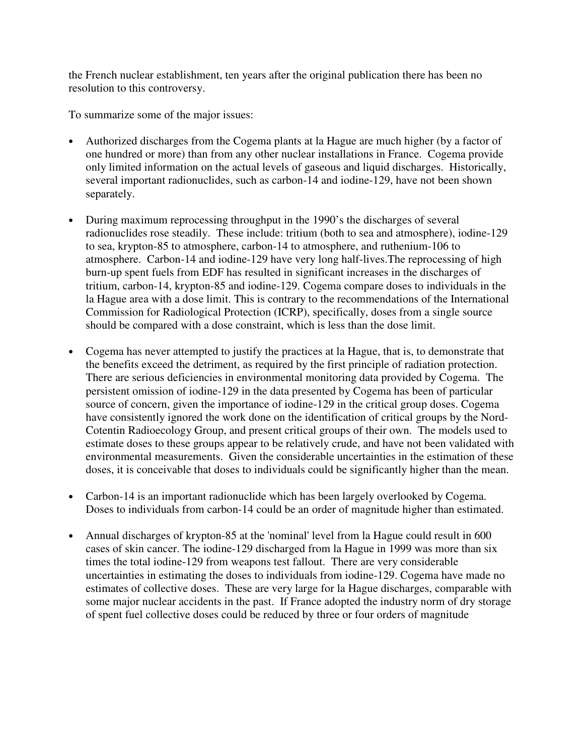the French nuclear establishment, ten years after the original publication there has been no resolution to this controversy.

To summarize some of the major issues:

- Authorized discharges from the Cogema plants at la Hague are much higher (by a factor of one hundred or more) than from any other nuclear installations in France. Cogema provide only limited information on the actual levels of gaseous and liquid discharges. Historically, several important radionuclides, such as carbon-14 and iodine-129, have not been shown separately.
- During maximum reprocessing throughput in the 1990's the discharges of several radionuclides rose steadily. These include: tritium (both to sea and atmosphere), iodine-129 to sea, krypton-85 to atmosphere, carbon-14 to atmosphere, and ruthenium-106 to atmosphere. Carbon-14 and iodine-129 have very long half-lives.The reprocessing of high burn-up spent fuels from EDF has resulted in significant increases in the discharges of tritium, carbon-14, krypton-85 and iodine-129. Cogema compare doses to individuals in the la Hague area with a dose limit. This is contrary to the recommendations of the International Commission for Radiological Protection (ICRP), specifically, doses from a single source should be compared with a dose constraint, which is less than the dose limit.
- Cogema has never attempted to justify the practices at la Hague, that is, to demonstrate that the benefits exceed the detriment, as required by the first principle of radiation protection. There are serious deficiencies in environmental monitoring data provided by Cogema. The persistent omission of iodine-129 in the data presented by Cogema has been of particular source of concern, given the importance of iodine-129 in the critical group doses. Cogema have consistently ignored the work done on the identification of critical groups by the Nord-Cotentin Radioecology Group, and present critical groups of their own. The models used to estimate doses to these groups appear to be relatively crude, and have not been validated with environmental measurements. Given the considerable uncertainties in the estimation of these doses, it is conceivable that doses to individuals could be significantly higher than the mean.
- Carbon-14 is an important radionuclide which has been largely overlooked by Cogema. Doses to individuals from carbon-14 could be an order of magnitude higher than estimated.
- Annual discharges of krypton-85 at the 'nominal' level from la Hague could result in 600 cases of skin cancer. The iodine-129 discharged from la Hague in 1999 was more than six times the total iodine-129 from weapons test fallout. There are very considerable uncertainties in estimating the doses to individuals from iodine-129. Cogema have made no estimates of collective doses. These are very large for la Hague discharges, comparable with some major nuclear accidents in the past. If France adopted the industry norm of dry storage of spent fuel collective doses could be reduced by three or four orders of magnitude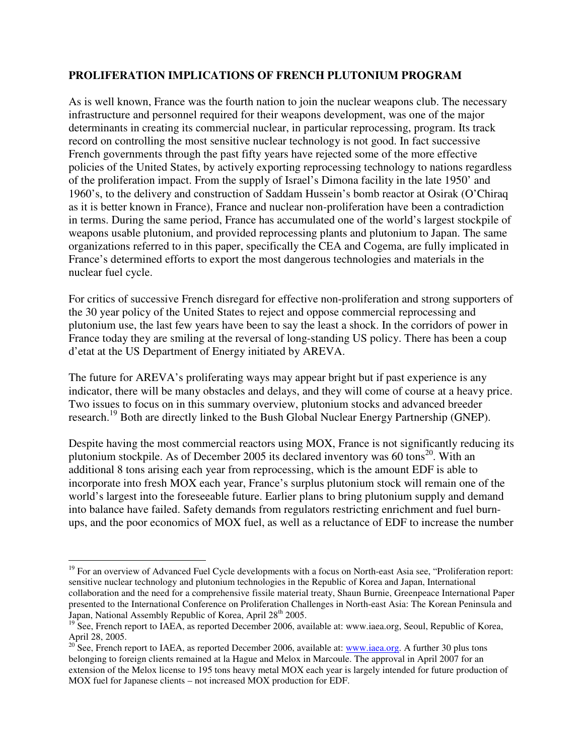#### **PROLIFERATION IMPLICATIONS OF FRENCH PLUTONIUM PROGRAM**

As is well known, France was the fourth nation to join the nuclear weapons club. The necessary infrastructure and personnel required for their weapons development, was one of the major determinants in creating its commercial nuclear, in particular reprocessing, program. Its track record on controlling the most sensitive nuclear technology is not good. In fact successive French governments through the past fifty years have rejected some of the more effective policies of the United States, by actively exporting reprocessing technology to nations regardless of the proliferation impact. From the supply of Israel's Dimona facility in the late 1950' and 1960's, to the delivery and construction of Saddam Hussein's bomb reactor at Osirak (O'Chiraq as it is better known in France), France and nuclear non-proliferation have been a contradiction in terms. During the same period, France has accumulated one of the world's largest stockpile of weapons usable plutonium, and provided reprocessing plants and plutonium to Japan. The same organizations referred to in this paper, specifically the CEA and Cogema, are fully implicated in France's determined efforts to export the most dangerous technologies and materials in the nuclear fuel cycle.

For critics of successive French disregard for effective non-proliferation and strong supporters of the 30 year policy of the United States to reject and oppose commercial reprocessing and plutonium use, the last few years have been to say the least a shock. In the corridors of power in France today they are smiling at the reversal of long-standing US policy. There has been a coup d'etat at the US Department of Energy initiated by AREVA.

The future for AREVA's proliferating ways may appear bright but if past experience is any indicator, there will be many obstacles and delays, and they will come of course at a heavy price. Two issues to focus on in this summary overview, plutonium stocks and advanced breeder research.<sup>19</sup> Both are directly linked to the Bush Global Nuclear Energy Partnership (GNEP).

Despite having the most commercial reactors using MOX, France is not significantly reducing its plutonium stockpile. As of December 2005 its declared inventory was  $60 \text{ tons}^{20}$ . With an additional 8 tons arising each year from reprocessing, which is the amount EDF is able to incorporate into fresh MOX each year, France's surplus plutonium stock will remain one of the world's largest into the foreseeable future. Earlier plans to bring plutonium supply and demand into balance have failed. Safety demands from regulators restricting enrichment and fuel burnups, and the poor economics of MOX fuel, as well as a reluctance of EDF to increase the number

 $\overline{a}$ 

 $19$  For an overview of Advanced Fuel Cycle developments with a focus on North-east Asia see, "Proliferation report: sensitive nuclear technology and plutonium technologies in the Republic of Korea and Japan, International collaboration and the need for a comprehensive fissile material treaty, Shaun Burnie, Greenpeace International Paper presented to the International Conference on Proliferation Challenges in North-east Asia: The Korean Peninsula and Japan, National Assembly Republic of Korea, April 28<sup>th</sup> 2005.

<sup>&</sup>lt;sup>19</sup> See, French report to IAEA, as reported December 2006, available at: www.iaea.org, Seoul, Republic of Korea, April 28, 2005.

<sup>&</sup>lt;sup>20</sup> See, French report to IAEA, as reported December 2006, available at: <u>www.iaea.org</u>. A further 30 plus tons belonging to foreign clients remained at la Hague and Melox in Marcoule. The approval in April 2007 for an extension of the Melox license to 195 tons heavy metal MOX each year is largely intended for future production of MOX fuel for Japanese clients – not increased MOX production for EDF.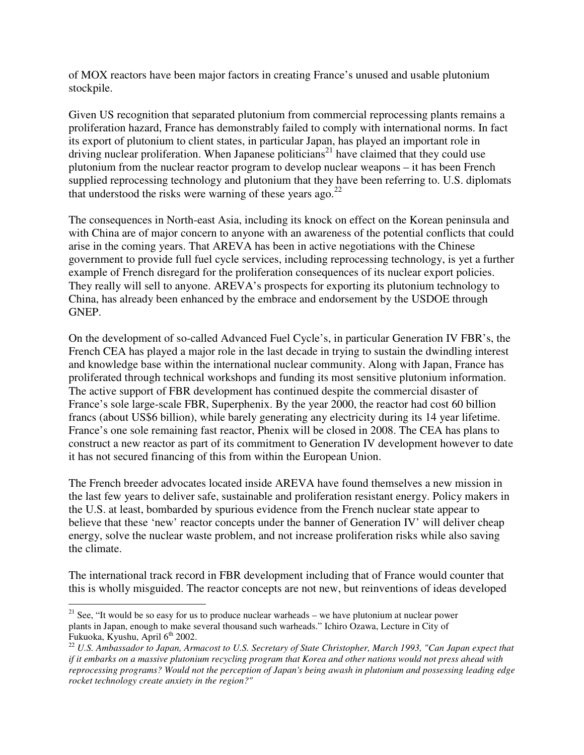of MOX reactors have been major factors in creating France's unused and usable plutonium stockpile.

Given US recognition that separated plutonium from commercial reprocessing plants remains a proliferation hazard, France has demonstrably failed to comply with international norms. In fact its export of plutonium to client states, in particular Japan, has played an important role in driving nuclear proliferation. When Japanese politicians<sup>21</sup> have claimed that they could use plutonium from the nuclear reactor program to develop nuclear weapons – it has been French supplied reprocessing technology and plutonium that they have been referring to. U.S. diplomats that understood the risks were warning of these years ago.<sup>22</sup>

The consequences in North-east Asia, including its knock on effect on the Korean peninsula and with China are of major concern to anyone with an awareness of the potential conflicts that could arise in the coming years. That AREVA has been in active negotiations with the Chinese government to provide full fuel cycle services, including reprocessing technology, is yet a further example of French disregard for the proliferation consequences of its nuclear export policies. They really will sell to anyone. AREVA's prospects for exporting its plutonium technology to China, has already been enhanced by the embrace and endorsement by the USDOE through GNEP.

On the development of so-called Advanced Fuel Cycle's, in particular Generation IV FBR's, the French CEA has played a major role in the last decade in trying to sustain the dwindling interest and knowledge base within the international nuclear community. Along with Japan, France has proliferated through technical workshops and funding its most sensitive plutonium information. The active support of FBR development has continued despite the commercial disaster of France's sole large-scale FBR, Superphenix. By the year 2000, the reactor had cost 60 billion francs (about US\$6 billion), while barely generating any electricity during its 14 year lifetime. France's one sole remaining fast reactor, Phenix will be closed in 2008. The CEA has plans to construct a new reactor as part of its commitment to Generation IV development however to date it has not secured financing of this from within the European Union.

The French breeder advocates located inside AREVA have found themselves a new mission in the last few years to deliver safe, sustainable and proliferation resistant energy. Policy makers in the U.S. at least, bombarded by spurious evidence from the French nuclear state appear to believe that these 'new' reactor concepts under the banner of Generation IV' will deliver cheap energy, solve the nuclear waste problem, and not increase proliferation risks while also saving the climate.

The international track record in FBR development including that of France would counter that this is wholly misguided. The reactor concepts are not new, but reinventions of ideas developed

 $\overline{a}$ 

 $21$  See, "It would be so easy for us to produce nuclear warheads – we have plutonium at nuclear power plants in Japan, enough to make several thousand such warheads." Ichiro Ozawa, Lecture in City of Fukuoka, Kyushu, April  $6<sup>th</sup> 2002$ .

<sup>&</sup>lt;sup>22</sup> U.S. Ambassador to Japan, Armacost to U.S. Secretary of State Christopher, March 1993, "Can Japan expect that *if it embarks on a massive plutonium recycling program that Korea and other nations would not press ahead with reprocessing programs? Would not the perception of Japan's being awash in plutonium and possessing leading edge rocket technology create anxiety in the region?"*